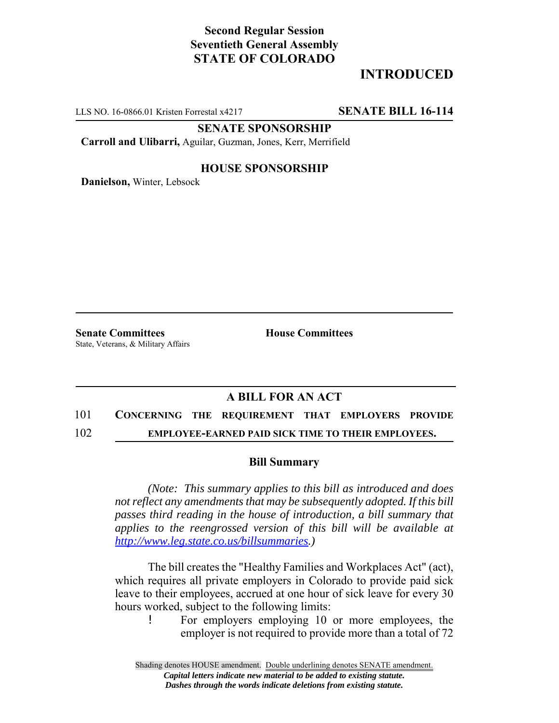## **Second Regular Session Seventieth General Assembly STATE OF COLORADO**

# **INTRODUCED**

LLS NO. 16-0866.01 Kristen Forrestal x4217 **SENATE BILL 16-114**

**SENATE SPONSORSHIP**

**Carroll and Ulibarri,** Aguilar, Guzman, Jones, Kerr, Merrifield

### **HOUSE SPONSORSHIP**

**Danielson,** Winter, Lebsock

**Senate Committees House Committees** State, Veterans, & Military Affairs

## **A BILL FOR AN ACT**

### 101 **CONCERNING THE REQUIREMENT THAT EMPLOYERS PROVIDE**

### 102 **EMPLOYEE-EARNED PAID SICK TIME TO THEIR EMPLOYEES.**

#### **Bill Summary**

*(Note: This summary applies to this bill as introduced and does not reflect any amendments that may be subsequently adopted. If this bill passes third reading in the house of introduction, a bill summary that applies to the reengrossed version of this bill will be available at http://www.leg.state.co.us/billsummaries.)*

The bill creates the "Healthy Families and Workplaces Act" (act), which requires all private employers in Colorado to provide paid sick leave to their employees, accrued at one hour of sick leave for every 30 hours worked, subject to the following limits:

! For employers employing 10 or more employees, the employer is not required to provide more than a total of 72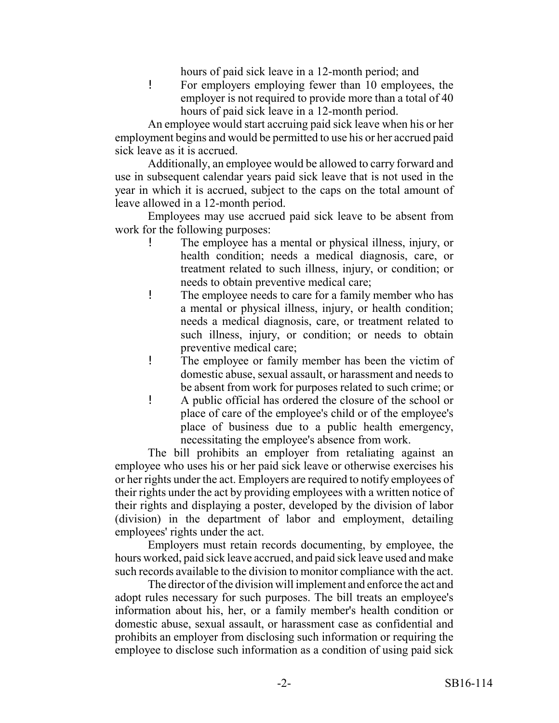hours of paid sick leave in a 12-month period; and

! For employers employing fewer than 10 employees, the employer is not required to provide more than a total of 40 hours of paid sick leave in a 12-month period.

An employee would start accruing paid sick leave when his or her employment begins and would be permitted to use his or her accrued paid sick leave as it is accrued.

Additionally, an employee would be allowed to carry forward and use in subsequent calendar years paid sick leave that is not used in the year in which it is accrued, subject to the caps on the total amount of leave allowed in a 12-month period.

Employees may use accrued paid sick leave to be absent from work for the following purposes:

- ! The employee has a mental or physical illness, injury, or health condition; needs a medical diagnosis, care, or treatment related to such illness, injury, or condition; or needs to obtain preventive medical care;
- ! The employee needs to care for a family member who has a mental or physical illness, injury, or health condition; needs a medical diagnosis, care, or treatment related to such illness, injury, or condition; or needs to obtain preventive medical care;
- ! The employee or family member has been the victim of domestic abuse, sexual assault, or harassment and needs to be absent from work for purposes related to such crime; or
- ! A public official has ordered the closure of the school or place of care of the employee's child or of the employee's place of business due to a public health emergency, necessitating the employee's absence from work.

The bill prohibits an employer from retaliating against an employee who uses his or her paid sick leave or otherwise exercises his or her rights under the act. Employers are required to notify employees of their rights under the act by providing employees with a written notice of their rights and displaying a poster, developed by the division of labor (division) in the department of labor and employment, detailing employees' rights under the act.

Employers must retain records documenting, by employee, the hours worked, paid sick leave accrued, and paid sick leave used and make such records available to the division to monitor compliance with the act.

The director of the division will implement and enforce the act and adopt rules necessary for such purposes. The bill treats an employee's information about his, her, or a family member's health condition or domestic abuse, sexual assault, or harassment case as confidential and prohibits an employer from disclosing such information or requiring the employee to disclose such information as a condition of using paid sick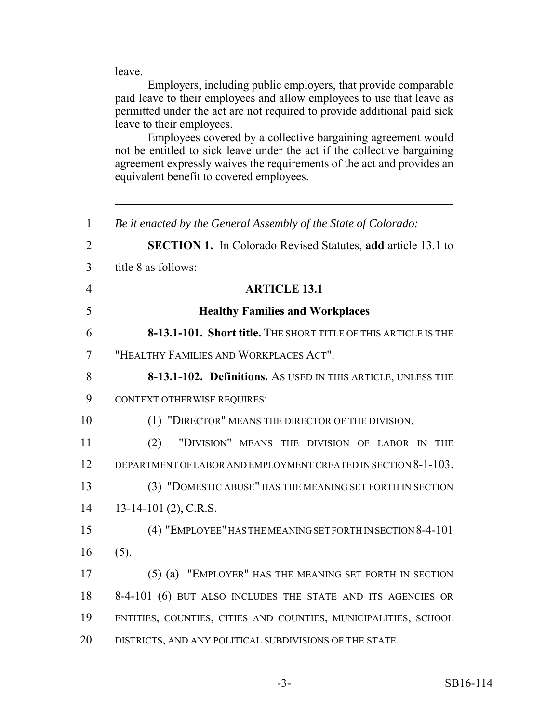leave.

Employers, including public employers, that provide comparable paid leave to their employees and allow employees to use that leave as permitted under the act are not required to provide additional paid sick leave to their employees.

Employees covered by a collective bargaining agreement would not be entitled to sick leave under the act if the collective bargaining agreement expressly waives the requirements of the act and provides an equivalent benefit to covered employees.

| $\mathbf{1}$   | Be it enacted by the General Assembly of the State of Colorado:     |
|----------------|---------------------------------------------------------------------|
| $\overline{2}$ | <b>SECTION 1.</b> In Colorado Revised Statutes, add article 13.1 to |
| 3              | title 8 as follows:                                                 |
| $\overline{4}$ | <b>ARTICLE 13.1</b>                                                 |
| 5              | <b>Healthy Families and Workplaces</b>                              |
| 6              | 8-13.1-101. Short title. THE SHORT TITLE OF THIS ARTICLE IS THE     |
| $\tau$         | "HEALTHY FAMILIES AND WORKPLACES ACT".                              |
| 8              | 8-13.1-102. Definitions. As USED IN THIS ARTICLE, UNLESS THE        |
| 9              | <b>CONTEXT OTHERWISE REQUIRES:</b>                                  |
| 10             | (1) "DIRECTOR" MEANS THE DIRECTOR OF THE DIVISION.                  |
| 11             | "DIVISION" MEANS THE DIVISION OF LABOR IN<br>(2)<br><b>THE</b>      |
| 12             | DEPARTMENT OF LABOR AND EMPLOYMENT CREATED IN SECTION 8-1-103.      |
| 13             | (3) "DOMESTIC ABUSE" HAS THE MEANING SET FORTH IN SECTION           |
| 14             | 13-14-101 (2), C.R.S.                                               |
| 15             | (4) "EMPLOYEE" HAS THE MEANING SET FORTH IN SECTION 8-4-101         |
| 16             | (5).                                                                |
| 17             | (5) (a) "EMPLOYER" HAS THE MEANING SET FORTH IN SECTION             |
| 18             | 8-4-101 (6) BUT ALSO INCLUDES THE STATE AND ITS AGENCIES OR         |
| 19             | ENTITIES, COUNTIES, CITIES AND COUNTIES, MUNICIPALITIES, SCHOOL     |
| 20             | DISTRICTS, AND ANY POLITICAL SUBDIVISIONS OF THE STATE.             |
|                |                                                                     |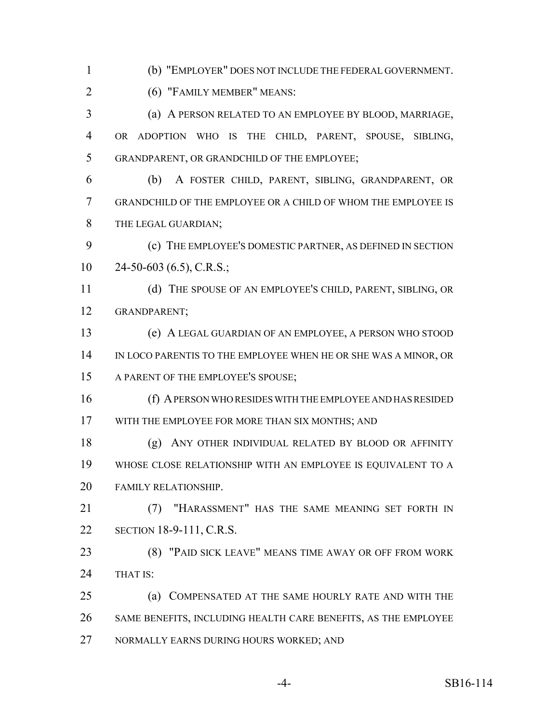(b) "EMPLOYER" DOES NOT INCLUDE THE FEDERAL GOVERNMENT.

(6) "FAMILY MEMBER" MEANS:

 (a) A PERSON RELATED TO AN EMPLOYEE BY BLOOD, MARRIAGE, OR ADOPTION WHO IS THE CHILD, PARENT, SPOUSE, SIBLING, GRANDPARENT, OR GRANDCHILD OF THE EMPLOYEE;

 (b) A FOSTER CHILD, PARENT, SIBLING, GRANDPARENT, OR GRANDCHILD OF THE EMPLOYEE OR A CHILD OF WHOM THE EMPLOYEE IS THE LEGAL GUARDIAN;

 (c) THE EMPLOYEE'S DOMESTIC PARTNER, AS DEFINED IN SECTION  $10 \qquad 24-50-603(6.5), C.R.S.$ ;

 (d) THE SPOUSE OF AN EMPLOYEE'S CHILD, PARENT, SIBLING, OR GRANDPARENT;

 (e) A LEGAL GUARDIAN OF AN EMPLOYEE, A PERSON WHO STOOD IN LOCO PARENTIS TO THE EMPLOYEE WHEN HE OR SHE WAS A MINOR, OR A PARENT OF THE EMPLOYEE'S SPOUSE;

 (f) A PERSON WHO RESIDES WITH THE EMPLOYEE AND HAS RESIDED WITH THE EMPLOYEE FOR MORE THAN SIX MONTHS; AND

 (g) ANY OTHER INDIVIDUAL RELATED BY BLOOD OR AFFINITY WHOSE CLOSE RELATIONSHIP WITH AN EMPLOYEE IS EQUIVALENT TO A FAMILY RELATIONSHIP.

 (7) "HARASSMENT" HAS THE SAME MEANING SET FORTH IN SECTION 18-9-111, C.R.S.

 (8) "PAID SICK LEAVE" MEANS TIME AWAY OR OFF FROM WORK 24 THAT IS:

 (a) COMPENSATED AT THE SAME HOURLY RATE AND WITH THE SAME BENEFITS, INCLUDING HEALTH CARE BENEFITS, AS THE EMPLOYEE NORMALLY EARNS DURING HOURS WORKED; AND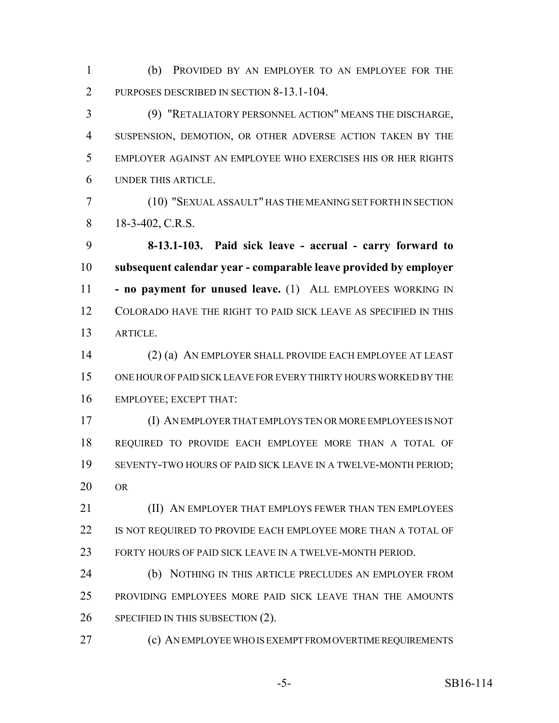(b) PROVIDED BY AN EMPLOYER TO AN EMPLOYEE FOR THE 2 PURPOSES DESCRIBED IN SECTION 8-13.1-104.

 (9) "RETALIATORY PERSONNEL ACTION" MEANS THE DISCHARGE, SUSPENSION, DEMOTION, OR OTHER ADVERSE ACTION TAKEN BY THE EMPLOYER AGAINST AN EMPLOYEE WHO EXERCISES HIS OR HER RIGHTS UNDER THIS ARTICLE.

 (10) "SEXUAL ASSAULT" HAS THE MEANING SET FORTH IN SECTION 8 18-3-402, C.R.S.

 **8-13.1-103. Paid sick leave - accrual - carry forward to subsequent calendar year - comparable leave provided by employer - no payment for unused leave.** (1) ALL EMPLOYEES WORKING IN COLORADO HAVE THE RIGHT TO PAID SICK LEAVE AS SPECIFIED IN THIS ARTICLE.

 (2) (a) AN EMPLOYER SHALL PROVIDE EACH EMPLOYEE AT LEAST ONE HOUR OF PAID SICK LEAVE FOR EVERY THIRTY HOURS WORKED BY THE EMPLOYEE; EXCEPT THAT:

 (I) AN EMPLOYER THAT EMPLOYS TEN OR MORE EMPLOYEES IS NOT REQUIRED TO PROVIDE EACH EMPLOYEE MORE THAN A TOTAL OF SEVENTY-TWO HOURS OF PAID SICK LEAVE IN A TWELVE-MONTH PERIOD; OR

**(II) AN EMPLOYER THAT EMPLOYS FEWER THAN TEN EMPLOYEES** 22 IS NOT REQUIRED TO PROVIDE EACH EMPLOYEE MORE THAN A TOTAL OF FORTY HOURS OF PAID SICK LEAVE IN A TWELVE-MONTH PERIOD.

 (b) NOTHING IN THIS ARTICLE PRECLUDES AN EMPLOYER FROM PROVIDING EMPLOYEES MORE PAID SICK LEAVE THAN THE AMOUNTS SPECIFIED IN THIS SUBSECTION (2).

(c) AN EMPLOYEE WHO IS EXEMPT FROM OVERTIME REQUIREMENTS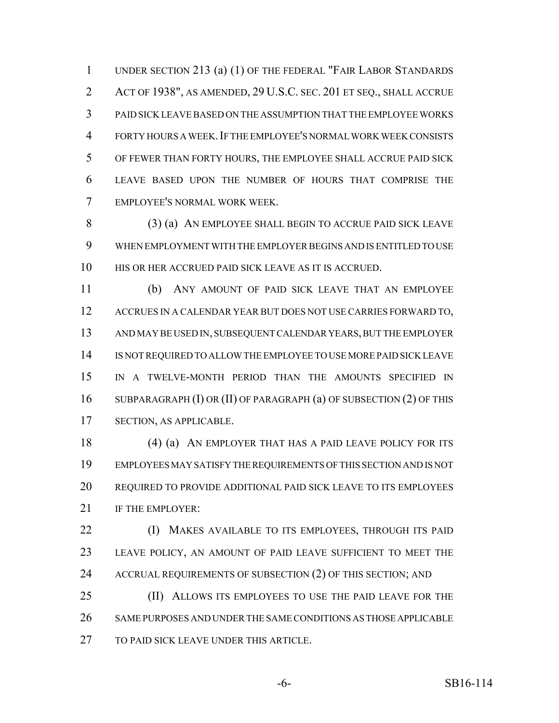UNDER SECTION 213 (a) (1) OF THE FEDERAL "FAIR LABOR STANDARDS ACT OF 1938", AS AMENDED, 29 U.S.C. SEC. 201 ET SEQ., SHALL ACCRUE PAID SICK LEAVE BASED ON THE ASSUMPTION THAT THE EMPLOYEE WORKS FORTY HOURS A WEEK.IF THE EMPLOYEE'S NORMAL WORK WEEK CONSISTS OF FEWER THAN FORTY HOURS, THE EMPLOYEE SHALL ACCRUE PAID SICK LEAVE BASED UPON THE NUMBER OF HOURS THAT COMPRISE THE EMPLOYEE'S NORMAL WORK WEEK.

 (3) (a) AN EMPLOYEE SHALL BEGIN TO ACCRUE PAID SICK LEAVE WHEN EMPLOYMENT WITH THE EMPLOYER BEGINS AND IS ENTITLED TO USE HIS OR HER ACCRUED PAID SICK LEAVE AS IT IS ACCRUED.

 (b) ANY AMOUNT OF PAID SICK LEAVE THAT AN EMPLOYEE ACCRUES IN A CALENDAR YEAR BUT DOES NOT USE CARRIES FORWARD TO, AND MAY BE USED IN, SUBSEQUENT CALENDAR YEARS, BUT THE EMPLOYER IS NOT REQUIRED TO ALLOW THE EMPLOYEE TO USE MORE PAID SICK LEAVE IN A TWELVE-MONTH PERIOD THAN THE AMOUNTS SPECIFIED IN 16 SUBPARAGRAPH (I) OR (II) OF PARAGRAPH (a) OF SUBSECTION (2) OF THIS SECTION, AS APPLICABLE.

18 (4) (a) AN EMPLOYER THAT HAS A PAID LEAVE POLICY FOR ITS EMPLOYEES MAY SATISFY THE REQUIREMENTS OF THIS SECTION AND IS NOT REQUIRED TO PROVIDE ADDITIONAL PAID SICK LEAVE TO ITS EMPLOYEES 21 IF THE EMPLOYER:

 (I) MAKES AVAILABLE TO ITS EMPLOYEES, THROUGH ITS PAID LEAVE POLICY, AN AMOUNT OF PAID LEAVE SUFFICIENT TO MEET THE 24 ACCRUAL REQUIREMENTS OF SUBSECTION (2) OF THIS SECTION; AND

 (II) ALLOWS ITS EMPLOYEES TO USE THE PAID LEAVE FOR THE SAME PURPOSES AND UNDER THE SAME CONDITIONS AS THOSE APPLICABLE TO PAID SICK LEAVE UNDER THIS ARTICLE.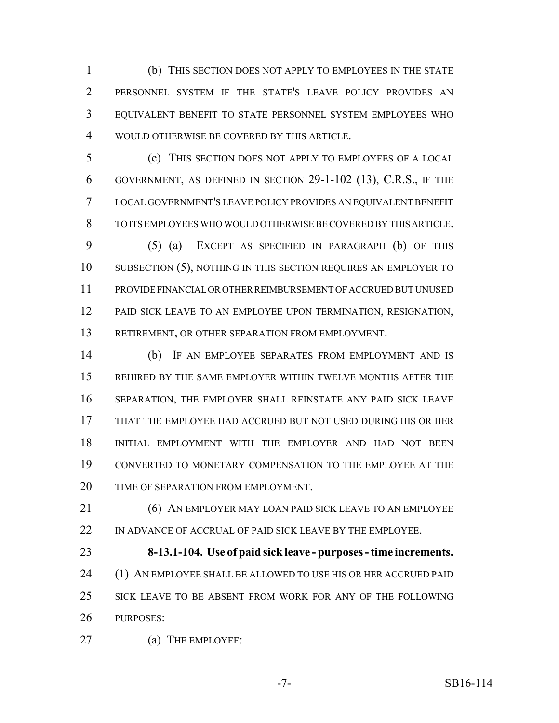(b) THIS SECTION DOES NOT APPLY TO EMPLOYEES IN THE STATE PERSONNEL SYSTEM IF THE STATE'S LEAVE POLICY PROVIDES AN EQUIVALENT BENEFIT TO STATE PERSONNEL SYSTEM EMPLOYEES WHO WOULD OTHERWISE BE COVERED BY THIS ARTICLE.

 (c) THIS SECTION DOES NOT APPLY TO EMPLOYEES OF A LOCAL GOVERNMENT, AS DEFINED IN SECTION 29-1-102 (13), C.R.S., IF THE LOCAL GOVERNMENT'S LEAVE POLICY PROVIDES AN EQUIVALENT BENEFIT TO ITS EMPLOYEES WHO WOULD OTHERWISE BE COVERED BY THIS ARTICLE.

 (5) (a) EXCEPT AS SPECIFIED IN PARAGRAPH (b) OF THIS SUBSECTION (5), NOTHING IN THIS SECTION REQUIRES AN EMPLOYER TO PROVIDE FINANCIAL OR OTHER REIMBURSEMENT OF ACCRUED BUT UNUSED PAID SICK LEAVE TO AN EMPLOYEE UPON TERMINATION, RESIGNATION, RETIREMENT, OR OTHER SEPARATION FROM EMPLOYMENT.

 (b) IF AN EMPLOYEE SEPARATES FROM EMPLOYMENT AND IS REHIRED BY THE SAME EMPLOYER WITHIN TWELVE MONTHS AFTER THE SEPARATION, THE EMPLOYER SHALL REINSTATE ANY PAID SICK LEAVE THAT THE EMPLOYEE HAD ACCRUED BUT NOT USED DURING HIS OR HER INITIAL EMPLOYMENT WITH THE EMPLOYER AND HAD NOT BEEN CONVERTED TO MONETARY COMPENSATION TO THE EMPLOYEE AT THE 20 TIME OF SEPARATION FROM EMPLOYMENT.

 (6) AN EMPLOYER MAY LOAN PAID SICK LEAVE TO AN EMPLOYEE IN ADVANCE OF ACCRUAL OF PAID SICK LEAVE BY THE EMPLOYEE.

 **8-13.1-104. Use of paid sick leave - purposes - time increments.** (1) AN EMPLOYEE SHALL BE ALLOWED TO USE HIS OR HER ACCRUED PAID SICK LEAVE TO BE ABSENT FROM WORK FOR ANY OF THE FOLLOWING PURPOSES:

(a) THE EMPLOYEE: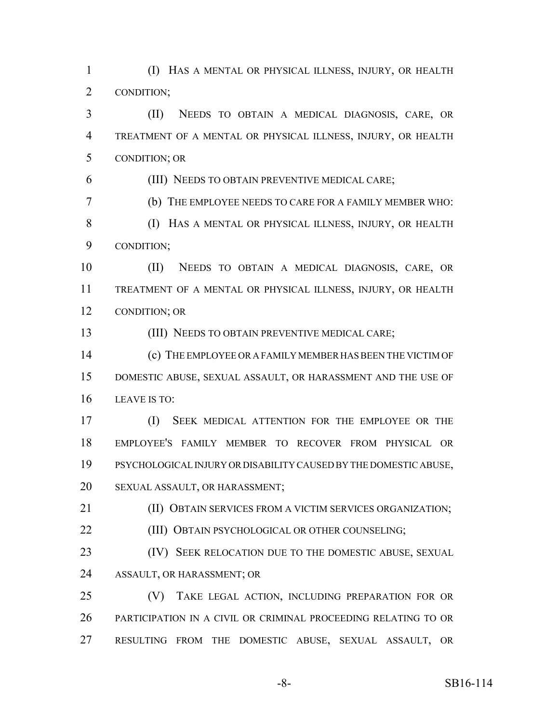(I) HAS A MENTAL OR PHYSICAL ILLNESS, INJURY, OR HEALTH CONDITION;

 (II) NEEDS TO OBTAIN A MEDICAL DIAGNOSIS, CARE, OR TREATMENT OF A MENTAL OR PHYSICAL ILLNESS, INJURY, OR HEALTH CONDITION; OR

(III) NEEDS TO OBTAIN PREVENTIVE MEDICAL CARE;

(b) THE EMPLOYEE NEEDS TO CARE FOR A FAMILY MEMBER WHO:

 (I) HAS A MENTAL OR PHYSICAL ILLNESS, INJURY, OR HEALTH CONDITION;

 (II) NEEDS TO OBTAIN A MEDICAL DIAGNOSIS, CARE, OR TREATMENT OF A MENTAL OR PHYSICAL ILLNESS, INJURY, OR HEALTH CONDITION; OR

(III) NEEDS TO OBTAIN PREVENTIVE MEDICAL CARE;

 (c) THE EMPLOYEE OR A FAMILY MEMBER HAS BEEN THE VICTIM OF DOMESTIC ABUSE, SEXUAL ASSAULT, OR HARASSMENT AND THE USE OF LEAVE IS TO:

 (I) SEEK MEDICAL ATTENTION FOR THE EMPLOYEE OR THE EMPLOYEE'S FAMILY MEMBER TO RECOVER FROM PHYSICAL OR PSYCHOLOGICAL INJURY OR DISABILITY CAUSED BY THE DOMESTIC ABUSE, SEXUAL ASSAULT, OR HARASSMENT;

(II) OBTAIN SERVICES FROM A VICTIM SERVICES ORGANIZATION;

**(III) OBTAIN PSYCHOLOGICAL OR OTHER COUNSELING;** 

23 (IV) SEEK RELOCATION DUE TO THE DOMESTIC ABUSE, SEXUAL ASSAULT, OR HARASSMENT; OR

 (V) TAKE LEGAL ACTION, INCLUDING PREPARATION FOR OR PARTICIPATION IN A CIVIL OR CRIMINAL PROCEEDING RELATING TO OR RESULTING FROM THE DOMESTIC ABUSE, SEXUAL ASSAULT, OR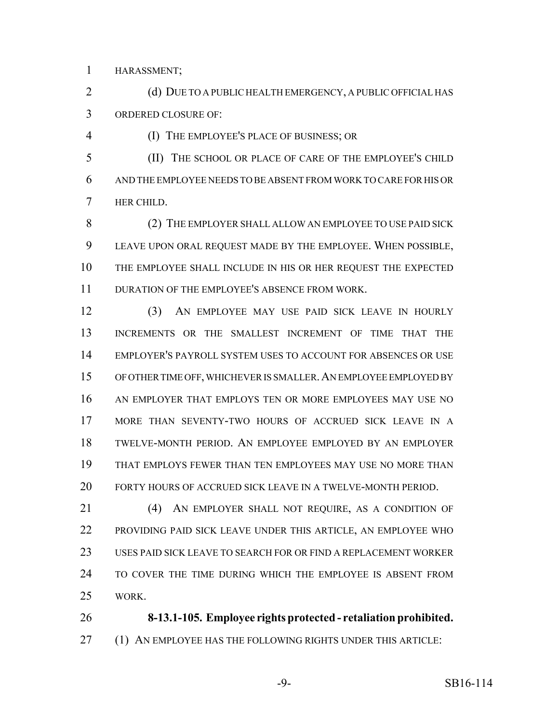HARASSMENT;

2 (d) DUE TO A PUBLIC HEALTH EMERGENCY, A PUBLIC OFFICIAL HAS ORDERED CLOSURE OF:

(I) THE EMPLOYEE'S PLACE OF BUSINESS; OR

 (II) THE SCHOOL OR PLACE OF CARE OF THE EMPLOYEE'S CHILD AND THE EMPLOYEE NEEDS TO BE ABSENT FROM WORK TO CARE FOR HIS OR HER CHILD.

 (2) THE EMPLOYER SHALL ALLOW AN EMPLOYEE TO USE PAID SICK LEAVE UPON ORAL REQUEST MADE BY THE EMPLOYEE. WHEN POSSIBLE, THE EMPLOYEE SHALL INCLUDE IN HIS OR HER REQUEST THE EXPECTED DURATION OF THE EMPLOYEE'S ABSENCE FROM WORK.

 (3) AN EMPLOYEE MAY USE PAID SICK LEAVE IN HOURLY INCREMENTS OR THE SMALLEST INCREMENT OF TIME THAT THE EMPLOYER'S PAYROLL SYSTEM USES TO ACCOUNT FOR ABSENCES OR USE OF OTHER TIME OFF, WHICHEVER IS SMALLER.AN EMPLOYEE EMPLOYED BY AN EMPLOYER THAT EMPLOYS TEN OR MORE EMPLOYEES MAY USE NO MORE THAN SEVENTY-TWO HOURS OF ACCRUED SICK LEAVE IN A TWELVE-MONTH PERIOD. AN EMPLOYEE EMPLOYED BY AN EMPLOYER THAT EMPLOYS FEWER THAN TEN EMPLOYEES MAY USE NO MORE THAN FORTY HOURS OF ACCRUED SICK LEAVE IN A TWELVE-MONTH PERIOD.

 (4) AN EMPLOYER SHALL NOT REQUIRE, AS A CONDITION OF PROVIDING PAID SICK LEAVE UNDER THIS ARTICLE, AN EMPLOYEE WHO USES PAID SICK LEAVE TO SEARCH FOR OR FIND A REPLACEMENT WORKER TO COVER THE TIME DURING WHICH THE EMPLOYEE IS ABSENT FROM WORK.

 **8-13.1-105. Employee rights protected - retaliation prohibited.** 27 (1) AN EMPLOYEE HAS THE FOLLOWING RIGHTS UNDER THIS ARTICLE: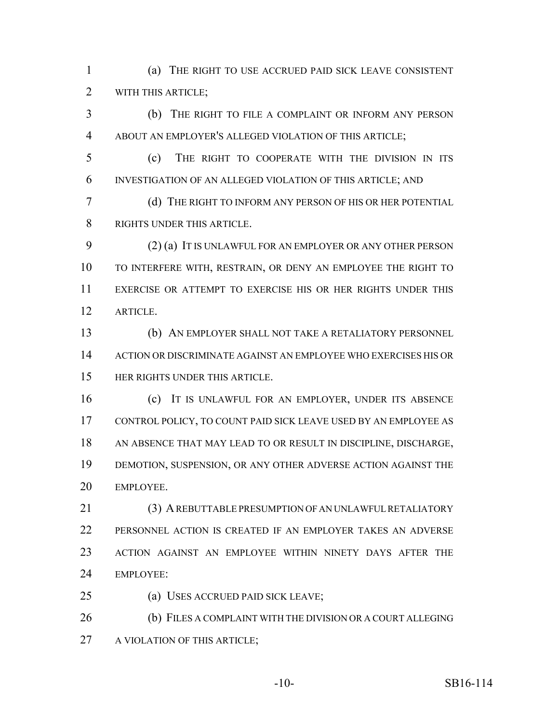(a) THE RIGHT TO USE ACCRUED PAID SICK LEAVE CONSISTENT WITH THIS ARTICLE;

 (b) THE RIGHT TO FILE A COMPLAINT OR INFORM ANY PERSON ABOUT AN EMPLOYER'S ALLEGED VIOLATION OF THIS ARTICLE;

 (c) THE RIGHT TO COOPERATE WITH THE DIVISION IN ITS INVESTIGATION OF AN ALLEGED VIOLATION OF THIS ARTICLE; AND

 (d) THE RIGHT TO INFORM ANY PERSON OF HIS OR HER POTENTIAL RIGHTS UNDER THIS ARTICLE.

 (2) (a) IT IS UNLAWFUL FOR AN EMPLOYER OR ANY OTHER PERSON TO INTERFERE WITH, RESTRAIN, OR DENY AN EMPLOYEE THE RIGHT TO EXERCISE OR ATTEMPT TO EXERCISE HIS OR HER RIGHTS UNDER THIS ARTICLE.

 (b) AN EMPLOYER SHALL NOT TAKE A RETALIATORY PERSONNEL ACTION OR DISCRIMINATE AGAINST AN EMPLOYEE WHO EXERCISES HIS OR HER RIGHTS UNDER THIS ARTICLE.

 (c) IT IS UNLAWFUL FOR AN EMPLOYER, UNDER ITS ABSENCE CONTROL POLICY, TO COUNT PAID SICK LEAVE USED BY AN EMPLOYEE AS AN ABSENCE THAT MAY LEAD TO OR RESULT IN DISCIPLINE, DISCHARGE, DEMOTION, SUSPENSION, OR ANY OTHER ADVERSE ACTION AGAINST THE EMPLOYEE.

 (3) A REBUTTABLE PRESUMPTION OF AN UNLAWFUL RETALIATORY PERSONNEL ACTION IS CREATED IF AN EMPLOYER TAKES AN ADVERSE ACTION AGAINST AN EMPLOYEE WITHIN NINETY DAYS AFTER THE EMPLOYEE:

(a) USES ACCRUED PAID SICK LEAVE;

 (b) FILES A COMPLAINT WITH THE DIVISION OR A COURT ALLEGING A VIOLATION OF THIS ARTICLE;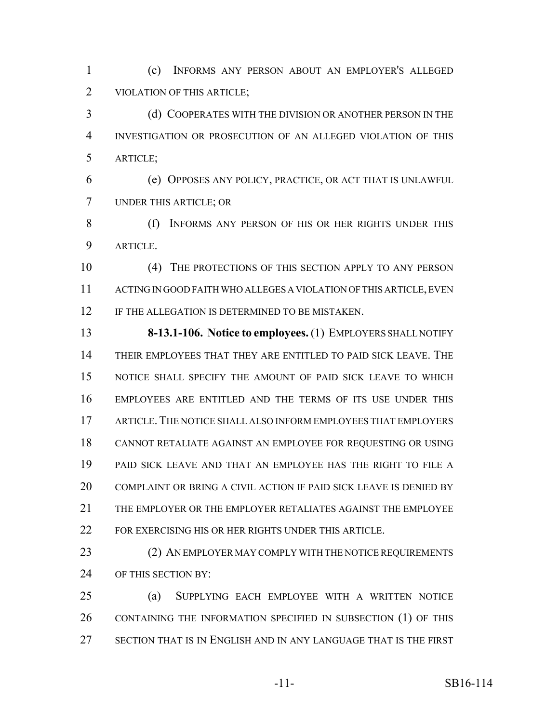(c) INFORMS ANY PERSON ABOUT AN EMPLOYER'S ALLEGED VIOLATION OF THIS ARTICLE;

 (d) COOPERATES WITH THE DIVISION OR ANOTHER PERSON IN THE INVESTIGATION OR PROSECUTION OF AN ALLEGED VIOLATION OF THIS ARTICLE;

 (e) OPPOSES ANY POLICY, PRACTICE, OR ACT THAT IS UNLAWFUL UNDER THIS ARTICLE; OR

8 (f) INFORMS ANY PERSON OF HIS OR HER RIGHTS UNDER THIS ARTICLE.

 (4) THE PROTECTIONS OF THIS SECTION APPLY TO ANY PERSON ACTING IN GOOD FAITH WHO ALLEGES A VIOLATION OF THIS ARTICLE, EVEN 12 IF THE ALLEGATION IS DETERMINED TO BE MISTAKEN.

 **8-13.1-106. Notice to employees.** (1) EMPLOYERS SHALL NOTIFY THEIR EMPLOYEES THAT THEY ARE ENTITLED TO PAID SICK LEAVE. THE NOTICE SHALL SPECIFY THE AMOUNT OF PAID SICK LEAVE TO WHICH EMPLOYEES ARE ENTITLED AND THE TERMS OF ITS USE UNDER THIS ARTICLE.THE NOTICE SHALL ALSO INFORM EMPLOYEES THAT EMPLOYERS CANNOT RETALIATE AGAINST AN EMPLOYEE FOR REQUESTING OR USING PAID SICK LEAVE AND THAT AN EMPLOYEE HAS THE RIGHT TO FILE A COMPLAINT OR BRING A CIVIL ACTION IF PAID SICK LEAVE IS DENIED BY THE EMPLOYER OR THE EMPLOYER RETALIATES AGAINST THE EMPLOYEE 22 FOR EXERCISING HIS OR HER RIGHTS UNDER THIS ARTICLE.

23 (2) AN EMPLOYER MAY COMPLY WITH THE NOTICE REQUIREMENTS OF THIS SECTION BY:

 (a) SUPPLYING EACH EMPLOYEE WITH A WRITTEN NOTICE CONTAINING THE INFORMATION SPECIFIED IN SUBSECTION (1) OF THIS SECTION THAT IS IN ENGLISH AND IN ANY LANGUAGE THAT IS THE FIRST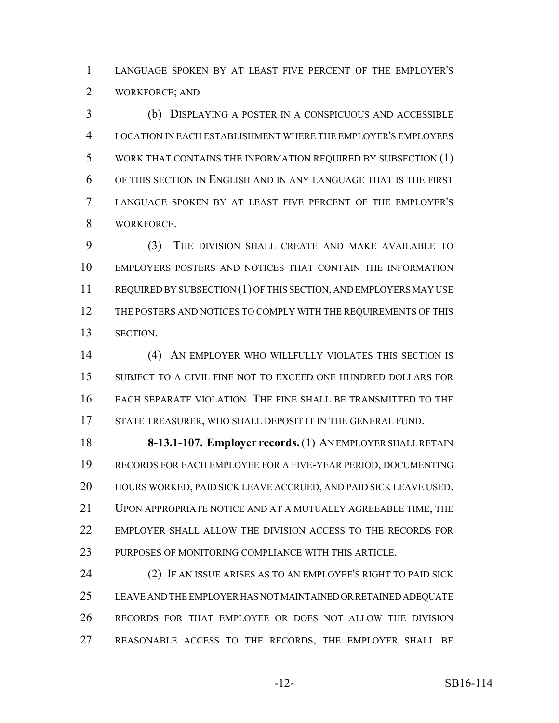LANGUAGE SPOKEN BY AT LEAST FIVE PERCENT OF THE EMPLOYER'S WORKFORCE; AND

 (b) DISPLAYING A POSTER IN A CONSPICUOUS AND ACCESSIBLE LOCATION IN EACH ESTABLISHMENT WHERE THE EMPLOYER'S EMPLOYEES WORK THAT CONTAINS THE INFORMATION REQUIRED BY SUBSECTION (1) OF THIS SECTION IN ENGLISH AND IN ANY LANGUAGE THAT IS THE FIRST LANGUAGE SPOKEN BY AT LEAST FIVE PERCENT OF THE EMPLOYER'S WORKFORCE.

 (3) THE DIVISION SHALL CREATE AND MAKE AVAILABLE TO EMPLOYERS POSTERS AND NOTICES THAT CONTAIN THE INFORMATION REQUIRED BY SUBSECTION (1) OF THIS SECTION, AND EMPLOYERS MAY USE 12 THE POSTERS AND NOTICES TO COMPLY WITH THE REQUIREMENTS OF THIS SECTION.

 (4) AN EMPLOYER WHO WILLFULLY VIOLATES THIS SECTION IS SUBJECT TO A CIVIL FINE NOT TO EXCEED ONE HUNDRED DOLLARS FOR EACH SEPARATE VIOLATION. THE FINE SHALL BE TRANSMITTED TO THE STATE TREASURER, WHO SHALL DEPOSIT IT IN THE GENERAL FUND.

 **8-13.1-107. Employer records.** (1) AN EMPLOYER SHALL RETAIN RECORDS FOR EACH EMPLOYEE FOR A FIVE-YEAR PERIOD, DOCUMENTING HOURS WORKED, PAID SICK LEAVE ACCRUED, AND PAID SICK LEAVE USED. UPON APPROPRIATE NOTICE AND AT A MUTUALLY AGREEABLE TIME, THE EMPLOYER SHALL ALLOW THE DIVISION ACCESS TO THE RECORDS FOR PURPOSES OF MONITORING COMPLIANCE WITH THIS ARTICLE.

 (2) IF AN ISSUE ARISES AS TO AN EMPLOYEE'S RIGHT TO PAID SICK LEAVE AND THE EMPLOYER HAS NOT MAINTAINED OR RETAINED ADEQUATE RECORDS FOR THAT EMPLOYEE OR DOES NOT ALLOW THE DIVISION REASONABLE ACCESS TO THE RECORDS, THE EMPLOYER SHALL BE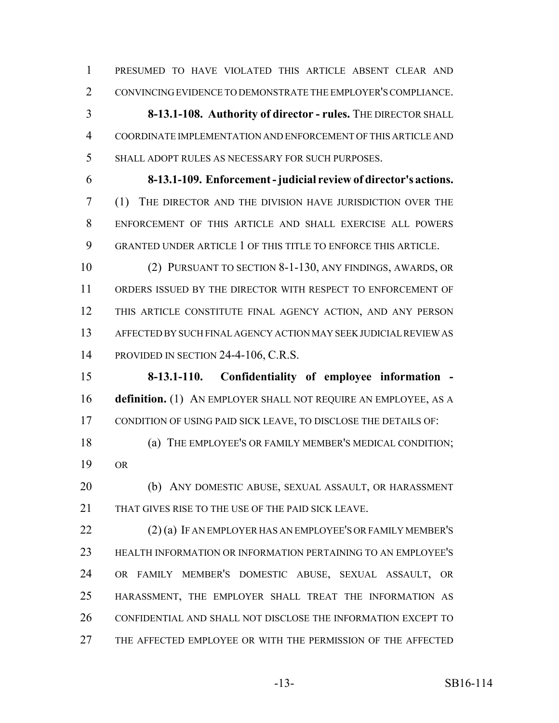PRESUMED TO HAVE VIOLATED THIS ARTICLE ABSENT CLEAR AND CONVINCING EVIDENCE TO DEMONSTRATE THE EMPLOYER'S COMPLIANCE.

 **8-13.1-108. Authority of director - rules.** THE DIRECTOR SHALL COORDINATE IMPLEMENTATION AND ENFORCEMENT OF THIS ARTICLE AND SHALL ADOPT RULES AS NECESSARY FOR SUCH PURPOSES.

 **8-13.1-109. Enforcement - judicial review of director's actions.** (1) THE DIRECTOR AND THE DIVISION HAVE JURISDICTION OVER THE ENFORCEMENT OF THIS ARTICLE AND SHALL EXERCISE ALL POWERS GRANTED UNDER ARTICLE 1 OF THIS TITLE TO ENFORCE THIS ARTICLE.

 (2) PURSUANT TO SECTION 8-1-130, ANY FINDINGS, AWARDS, OR ORDERS ISSUED BY THE DIRECTOR WITH RESPECT TO ENFORCEMENT OF THIS ARTICLE CONSTITUTE FINAL AGENCY ACTION, AND ANY PERSON AFFECTED BY SUCH FINAL AGENCY ACTION MAY SEEK JUDICIAL REVIEW AS PROVIDED IN SECTION 24-4-106, C.R.S.

 **8-13.1-110. Confidentiality of employee information - definition.** (1) AN EMPLOYER SHALL NOT REQUIRE AN EMPLOYEE, AS A CONDITION OF USING PAID SICK LEAVE, TO DISCLOSE THE DETAILS OF:

 (a) THE EMPLOYEE'S OR FAMILY MEMBER'S MEDICAL CONDITION; OR

 (b) ANY DOMESTIC ABUSE, SEXUAL ASSAULT, OR HARASSMENT 21 THAT GIVES RISE TO THE USE OF THE PAID SICK LEAVE.

 (2) (a) IF AN EMPLOYER HAS AN EMPLOYEE'S OR FAMILY MEMBER'S HEALTH INFORMATION OR INFORMATION PERTAINING TO AN EMPLOYEE'S OR FAMILY MEMBER'S DOMESTIC ABUSE, SEXUAL ASSAULT, OR HARASSMENT, THE EMPLOYER SHALL TREAT THE INFORMATION AS CONFIDENTIAL AND SHALL NOT DISCLOSE THE INFORMATION EXCEPT TO THE AFFECTED EMPLOYEE OR WITH THE PERMISSION OF THE AFFECTED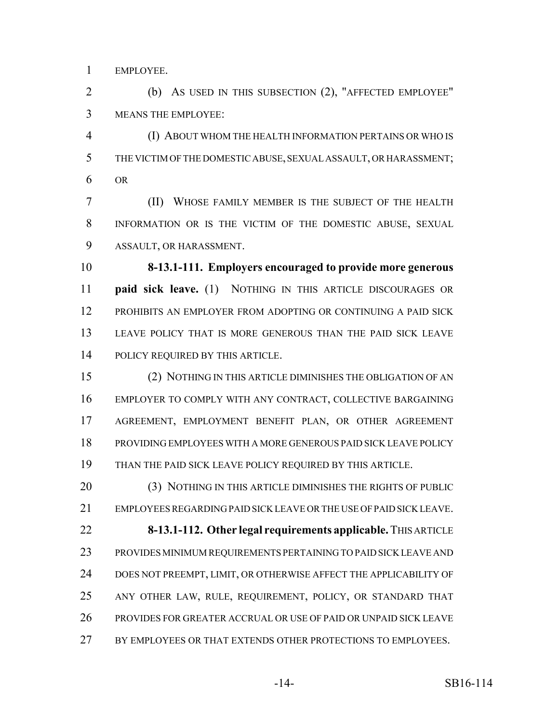EMPLOYEE.

 (b) AS USED IN THIS SUBSECTION (2), "AFFECTED EMPLOYEE" MEANS THE EMPLOYEE:

 (I) ABOUT WHOM THE HEALTH INFORMATION PERTAINS OR WHO IS THE VICTIM OF THE DOMESTIC ABUSE, SEXUAL ASSAULT, OR HARASSMENT; OR

 (II) WHOSE FAMILY MEMBER IS THE SUBJECT OF THE HEALTH INFORMATION OR IS THE VICTIM OF THE DOMESTIC ABUSE, SEXUAL ASSAULT, OR HARASSMENT.

 **8-13.1-111. Employers encouraged to provide more generous paid sick leave.** (1) NOTHING IN THIS ARTICLE DISCOURAGES OR PROHIBITS AN EMPLOYER FROM ADOPTING OR CONTINUING A PAID SICK LEAVE POLICY THAT IS MORE GENEROUS THAN THE PAID SICK LEAVE POLICY REQUIRED BY THIS ARTICLE.

 (2) NOTHING IN THIS ARTICLE DIMINISHES THE OBLIGATION OF AN EMPLOYER TO COMPLY WITH ANY CONTRACT, COLLECTIVE BARGAINING AGREEMENT, EMPLOYMENT BENEFIT PLAN, OR OTHER AGREEMENT PROVIDING EMPLOYEES WITH A MORE GENEROUS PAID SICK LEAVE POLICY THAN THE PAID SICK LEAVE POLICY REQUIRED BY THIS ARTICLE.

 (3) NOTHING IN THIS ARTICLE DIMINISHES THE RIGHTS OF PUBLIC EMPLOYEES REGARDING PAID SICK LEAVE OR THE USE OF PAID SICK LEAVE. **8-13.1-112. Other legal requirements applicable.** THIS ARTICLE

 PROVIDES MINIMUM REQUIREMENTS PERTAINING TO PAID SICK LEAVE AND DOES NOT PREEMPT, LIMIT, OR OTHERWISE AFFECT THE APPLICABILITY OF ANY OTHER LAW, RULE, REQUIREMENT, POLICY, OR STANDARD THAT PROVIDES FOR GREATER ACCRUAL OR USE OF PAID OR UNPAID SICK LEAVE BY EMPLOYEES OR THAT EXTENDS OTHER PROTECTIONS TO EMPLOYEES.